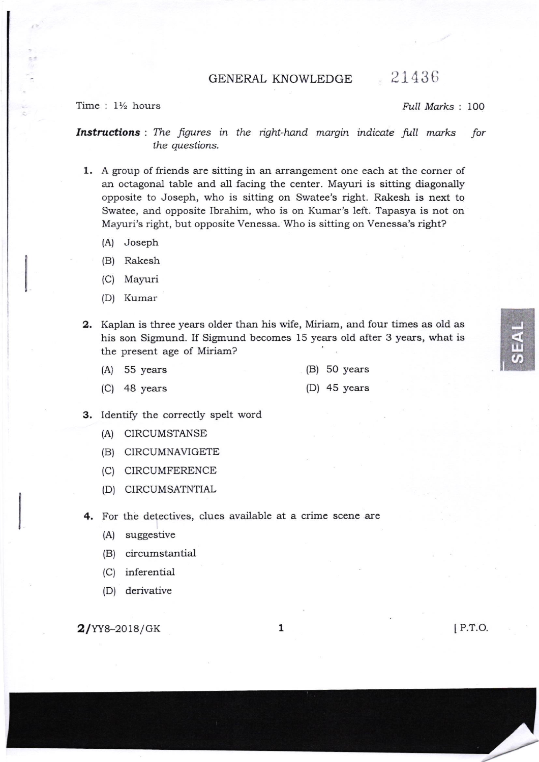GENERAL KNOWLEDGE 21436

## Time :  $1\frac{1}{2}$  hours  $\text{Full Marks}$  : 100

**Instructions** : The figures in the right-hand margin indicate full marks for the questions.

- 1, A group of friends are sitting in an arrangement one each at the corner of an octagonal table and all facing the center. Mayuri is sitting diagonally opposite to Joseph, who is sitting on Swatee's right. Rakesh is next to Swatee, and opposite Ibrahim, who is on Kumar's left. Tapasya is not on Mayuri's right, but opposite Venessa. Who is sitting on Venessa's right?
	- (A) Joseph
	- (B) Rakesh
	- (C) Mayuri
	- (D) Kumar
- 2. Kaplan is three years older than his wife, Miriam, and four times as old as his son Sigmund. If Sigmund becomes 15 years old after 3 years, what is the present age of Miriam?
	- (A) 55 years (B) 50 years
	- (C) 48 years (D) 45 years

- 
- 3. Identify the correctly spelt word
	- (A) CIRCUMSTANSE
	- (B) CIRCUMNAVIGETE
	- (C) CIRCUMFERENCE
	- (D) CIRCUMSATNTIAL
- 4, For the defectives, clues available at a crime scene are
	- (A) suggestive
	- (B) circumstantial
	- (C) inferential
	- (D) derivative

 $2/\text{YY8}-2018/\text{GK}$  1

IJJ  $U_{\ell}$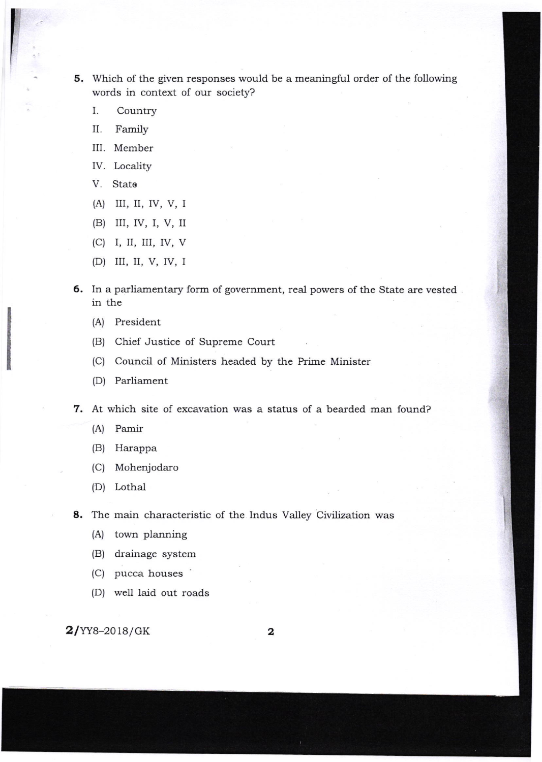5. Which of the given responses would be a meaningful order of the following words in context of our society?

- I. Country
- II. Family
- III. Member
- IV. Locality
- V. Stato
- (A) III, II, Iv, V, I
- (B) III, IV, I, V, II
- (C) I, II, III, IV, V
- (D) III, II, V, IV, I
- 6. In a parliamentary form of government, real powers of the State are vested. in the
	- (A) President
	- (B) Chief Justice of Supreme Court
	- (C) Council of Ministers headed by the Prime Minister
	- (D) Parliament

7. At which site of excavation was a status of a bearded man found?

- (A) Pamir
- (B) Harappa
- (C) Mohenjodaro
- (D) Lothal

8. The main characteristic of the Indus Valley Civilization was

- (A) town planning
- (B) drainage system
- (C) pucca houses
- (D) well laid out roads

 $2$ /YY8-2018/GK 2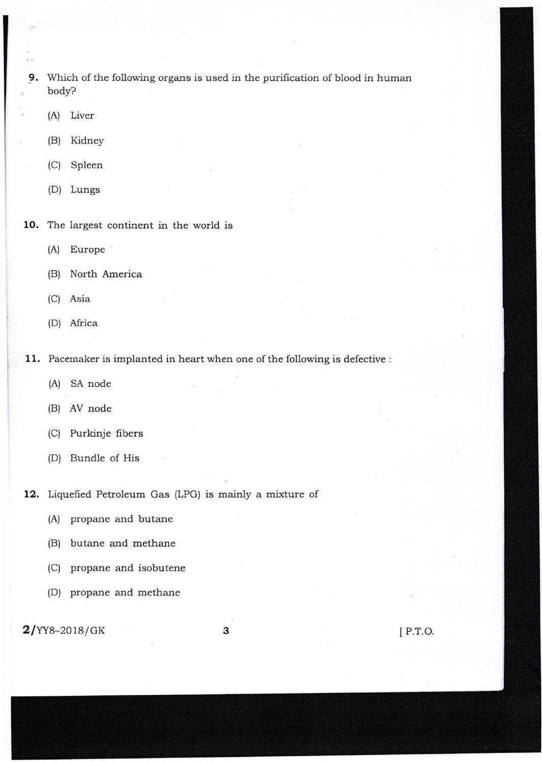- 9, Which of the following organs is used in the purification of blood in human body?
	- (A) Liver
	- (B) Kidney
	- (C) Spleen
	- (D) Lungs
- 10. The largest continent in the world is
	- (A) Europe
	- (B) North America
	- (C) Asia
	- (D) Africa
- 11. Pacemaker is implanted in heart when one of the following is defective :
	- (A) SA node
	- (B) AV node
	- (C) Purkinje fibers
	- (D) Bundle of His

12. Liquefied Petroleum Gas (LPG) is mainly a mixture of

(A) propane and butane

- (B) butane and methane
- (C) propane and isobutene
- (D) propane and methane

**3** [ P.T.O.